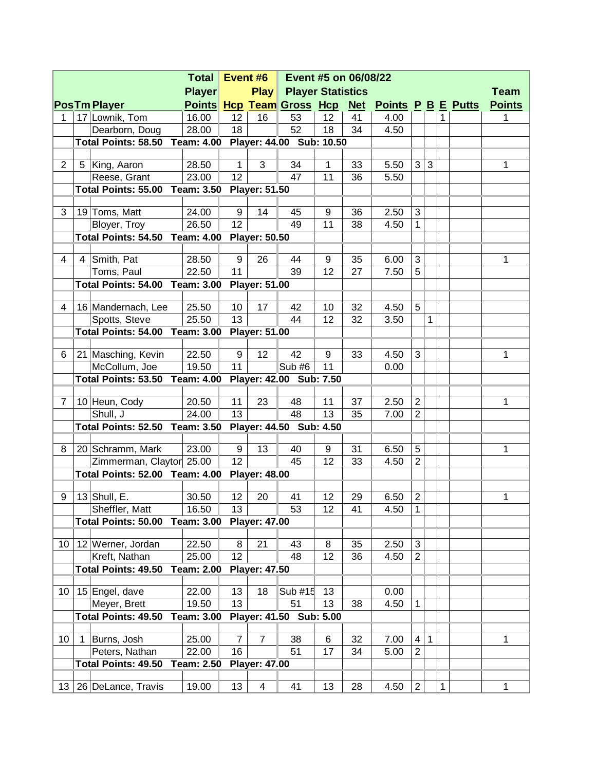|                 |   |                                                         | <b>Total</b>      | Event #6<br>Event #5 on 06/08/22 |                      |                                  |          |    |                        |                                  |              |   |  |               |
|-----------------|---|---------------------------------------------------------|-------------------|----------------------------------|----------------------|----------------------------------|----------|----|------------------------|----------------------------------|--------------|---|--|---------------|
|                 |   |                                                         | <b>Player</b>     |                                  |                      | <b>Play Player Statistics</b>    |          |    |                        |                                  |              |   |  | <b>Team</b>   |
|                 |   | <b>PosTm Player</b>                                     |                   |                                  |                      | <b>Points Hcp Team Gross Hcp</b> |          |    | Net Points P B E Putts |                                  |              |   |  | <b>Points</b> |
| 1               |   | 17 Lownik, Tom                                          | 16.00             | 12 <sub>2</sub>                  | 16                   | 53                               | 12       | 41 | 4.00                   |                                  |              | 1 |  | 1             |
|                 |   | Dearborn, Doug                                          | 28.00             | 18                               |                      | 52                               | 18       | 34 | 4.50                   |                                  |              |   |  |               |
|                 |   | Total Points: 58.50 Team: 4.00 Player: 44.00 Sub: 10.50 |                   |                                  |                      |                                  |          |    |                        |                                  |              |   |  |               |
|                 |   |                                                         |                   |                                  |                      |                                  |          |    |                        |                                  |              |   |  |               |
| $\overline{2}$  |   | 5 King, Aaron                                           | 28.50             | $\mathbf 1$                      | 3                    | 34                               | 1        | 33 | 5.50                   | 3                                | 3            |   |  | 1             |
|                 |   | Reese, Grant                                            | 23.00             | 12                               |                      | 47                               | 11       | 36 | 5.50                   |                                  |              |   |  |               |
|                 |   | Total Points: 55.00 Team: 3.50 Player: 51.50            |                   |                                  |                      |                                  |          |    |                        |                                  |              |   |  |               |
| 3               |   | 19 Toms, Matt                                           | 24.00             | 9                                | 14                   | 45                               | 9        | 36 | 2.50                   | 3                                |              |   |  |               |
|                 |   | Bloyer, Troy                                            | 26.50             | 12 <sup>2</sup>                  |                      | 49                               | 11       | 38 | 4.50                   | $\mathbf{1}$                     |              |   |  |               |
|                 |   | <b>Total Points: 54.50 Team: 4.00</b>                   |                   |                                  | <b>Player: 50.50</b> |                                  |          |    |                        |                                  |              |   |  |               |
|                 |   |                                                         |                   |                                  |                      |                                  |          |    |                        |                                  |              |   |  |               |
| 4               | 4 | Smith, Pat                                              | 28.50             | 9                                | 26                   | 44                               | 9        | 35 | 6.00                   | 3                                |              |   |  | 1             |
|                 |   | Toms, Paul                                              | 22.50             | 11                               |                      | 39                               | 12       | 27 | 7.50                   | 5                                |              |   |  |               |
|                 |   | <b>Total Points: 54.00 Team: 3.00</b>                   |                   |                                  | <b>Player: 51.00</b> |                                  |          |    |                        |                                  |              |   |  |               |
| 4               |   | 16 Mandernach, Lee                                      | 25.50             | 10                               | 17                   | 42                               | 10       | 32 | 4.50                   | 5                                |              |   |  |               |
|                 |   | Spotts, Steve                                           | 25.50             | 13                               |                      | 44                               | 12       | 32 | 3.50                   |                                  | $\mathbf{1}$ |   |  |               |
|                 |   | <b>Total Points: 54.00 Team: 3.00</b>                   |                   |                                  | <b>Player: 51.00</b> |                                  |          |    |                        |                                  |              |   |  |               |
|                 |   |                                                         |                   |                                  |                      |                                  |          |    |                        |                                  |              |   |  |               |
| 6               |   | 21 Masching, Kevin                                      | 22.50             | 9                                | 12                   | 42                               | 9        | 33 | 4.50                   | 3                                |              |   |  | 1             |
|                 |   | McCollum, Joe                                           | 19.50             | 11                               |                      | Sub #6                           | 11       |    | 0.00                   |                                  |              |   |  |               |
|                 |   | Total Points: 53.50 Team: 4.00                          |                   |                                  |                      | Player: 42.00 Sub: 7.50          |          |    |                        |                                  |              |   |  |               |
|                 |   |                                                         |                   |                                  |                      |                                  |          |    |                        |                                  |              |   |  |               |
| $\overline{7}$  |   | 10 Heun, Cody                                           | 20.50             | 11<br>13                         | 23                   | 48<br>48                         | 11<br>13 | 37 | 2.50                   | $\overline{2}$<br>$\overline{2}$ |              |   |  | 1             |
|                 |   | Shull, J<br>Total Points: 52.50 Team: 3.50              | 24.00             |                                  |                      |                                  |          | 35 | 7.00                   |                                  |              |   |  |               |
|                 |   |                                                         |                   |                                  |                      | Player: 44.50 Sub: 4.50          |          |    |                        |                                  |              |   |  |               |
| 8               |   | 20 Schramm, Mark                                        | 23.00             | 9                                | 13                   | 40                               | 9        | 31 | 6.50                   | 5                                |              |   |  | 1             |
|                 |   | Zimmerman, Claytor 25.00                                |                   | 12 <sup>°</sup>                  |                      | 45                               | 12       | 33 | 4.50                   | $\overline{2}$                   |              |   |  |               |
|                 |   | <b>Total Points: 52.00 Team: 4.00</b>                   |                   |                                  | <b>Player: 48.00</b> |                                  |          |    |                        |                                  |              |   |  |               |
|                 |   |                                                         |                   |                                  |                      |                                  |          |    |                        |                                  |              |   |  |               |
| 9               |   | 13 $ $ Shull, E.                                        | 30.50             | 12 <sup>°</sup>                  | 20                   | 41                               | 12       | 29 | 6.50                   | $\overline{2}$                   |              |   |  | $\mathbf{1}$  |
|                 |   | Sheffler, Matt                                          | 16.50             | 13                               |                      | 53                               | 12       | 41 | 4.50                   | 1                                |              |   |  |               |
|                 |   | <b>Total Points: 50.00</b>                              | <b>Team: 3.00</b> |                                  | <b>Player: 47.00</b> |                                  |          |    |                        |                                  |              |   |  |               |
| 10 <sup>°</sup> |   | 12 Werner, Jordan                                       | 22.50             | 8                                | 21                   | 43                               | 8        | 35 | 2.50                   | 3                                |              |   |  |               |
|                 |   | Kreft, Nathan                                           | 25.00             | 12                               |                      | 48                               | 12       | 36 | 4.50                   | $\overline{2}$                   |              |   |  |               |
|                 |   | <b>Total Points: 49.50</b>                              | <b>Team: 2.00</b> |                                  | <b>Player: 47.50</b> |                                  |          |    |                        |                                  |              |   |  |               |
|                 |   |                                                         |                   |                                  |                      |                                  |          |    |                        |                                  |              |   |  |               |
| 10 <sup>1</sup> |   | 15 Engel, dave                                          | 22.00             | 13                               | 18                   | Sub #15                          | 13       |    | 0.00                   |                                  |              |   |  |               |
|                 |   | Meyer, Brett                                            | 19.50             | 13                               |                      | 51                               | 13       | 38 | 4.50                   | $\mathbf{1}$                     |              |   |  |               |
|                 |   | Total Points: 49.50                                     | <b>Team: 3.00</b> |                                  |                      | Player: 41.50 Sub: 5.00          |          |    |                        |                                  |              |   |  |               |
| 10              | 1 | Burns, Josh                                             | 25.00             | $\overline{7}$                   | $\overline{7}$       | 38                               | 6        | 32 | 7.00                   | 4                                | $\mathbf{1}$ |   |  | 1             |
|                 |   | Peters, Nathan                                          | 22.00             | 16                               |                      | 51                               | 17       | 34 | 5.00                   | $\overline{2}$                   |              |   |  |               |
|                 |   | <b>Total Points: 49.50</b>                              | <b>Team: 2.50</b> |                                  | <b>Player: 47.00</b> |                                  |          |    |                        |                                  |              |   |  |               |
|                 |   |                                                         |                   |                                  |                      |                                  |          |    |                        |                                  |              |   |  |               |
|                 |   | 13   26   DeLance, Travis                               | 19.00             | 13                               | 4                    | 41                               | 13       | 28 | 4.50                   | $\overline{2}$                   |              | 1 |  | 1             |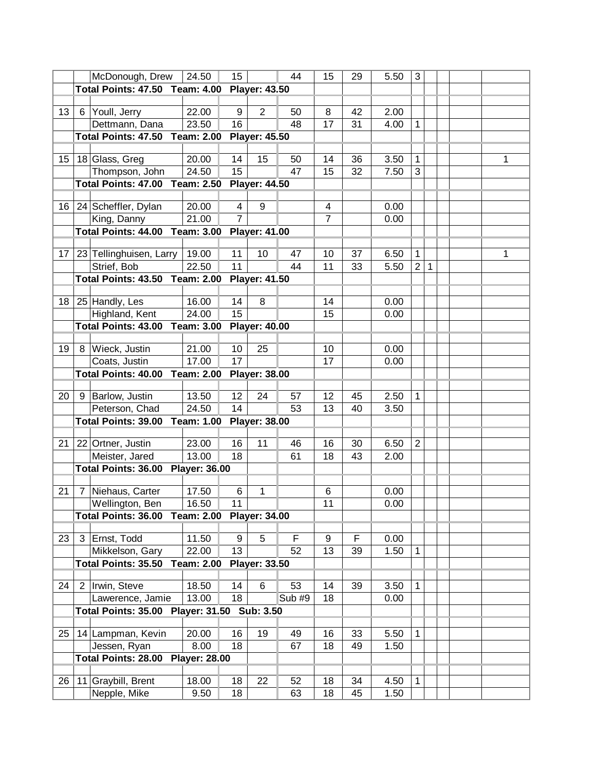| McDonough, Drew<br>24.50<br>15 <sub>15</sub><br>44<br>15<br>29<br>5.50<br>3<br><b>Total Points: 47.50 Team: 4.00</b><br><b>Player: 43.50</b><br>22.00<br>13<br>6 Youll, Jerry<br>9<br>$\overline{2}$<br>42<br>2.00<br>50<br>8<br>23.50<br>16<br>48<br>17<br>4.00<br>Dettmann, Dana<br>31<br>1<br><b>Total Points: 47.50 Team: 2.00</b><br><b>Player: 45.50</b> |   |
|----------------------------------------------------------------------------------------------------------------------------------------------------------------------------------------------------------------------------------------------------------------------------------------------------------------------------------------------------------------|---|
|                                                                                                                                                                                                                                                                                                                                                                |   |
|                                                                                                                                                                                                                                                                                                                                                                |   |
|                                                                                                                                                                                                                                                                                                                                                                |   |
|                                                                                                                                                                                                                                                                                                                                                                |   |
|                                                                                                                                                                                                                                                                                                                                                                |   |
|                                                                                                                                                                                                                                                                                                                                                                |   |
| 14<br>18 Glass, Greg<br>20.00<br>14<br>15<br>36<br>3.50<br>1<br>15 <sub>15</sub><br>50                                                                                                                                                                                                                                                                         | 1 |
| 15<br>Thompson, John<br>24.50<br>47<br>15<br>32<br>3<br>7.50                                                                                                                                                                                                                                                                                                   |   |
| <b>Total Points: 47.00</b><br><b>Team: 2.50</b><br><b>Player: 44.50</b>                                                                                                                                                                                                                                                                                        |   |
|                                                                                                                                                                                                                                                                                                                                                                |   |
| 9<br>24 Scheffler, Dylan<br>16<br>20.00<br>$\overline{4}$<br>4<br>0.00                                                                                                                                                                                                                                                                                         |   |
| $\overline{7}$<br>$\overline{7}$<br>21.00<br>King, Danny<br>0.00                                                                                                                                                                                                                                                                                               |   |
| <b>Total Points: 44.00 Team: 3.00</b><br><b>Player: 41.00</b>                                                                                                                                                                                                                                                                                                  |   |
|                                                                                                                                                                                                                                                                                                                                                                |   |
| 11<br>$\mathbf{1}$<br>23 Tellinghuisen, Larry<br>19.00<br>10<br>47<br>10<br>37<br>6.50<br>17                                                                                                                                                                                                                                                                   | 1 |
| 11<br>Strief, Bob<br>22.50<br>33<br>$\overline{2}$<br>44<br>11<br>5.50<br>1                                                                                                                                                                                                                                                                                    |   |
| <b>Total Points: 43.50 Team: 2.00</b><br><b>Player: 41.50</b>                                                                                                                                                                                                                                                                                                  |   |
| 18   25   Handly, Les<br>8<br>16.00<br>14<br>14<br>0.00                                                                                                                                                                                                                                                                                                        |   |
| 15<br>Highland, Kent<br>15<br>24.00<br>0.00                                                                                                                                                                                                                                                                                                                    |   |
| <b>Total Points: 43.00</b><br><b>Team: 3.00</b><br><b>Player: 40.00</b>                                                                                                                                                                                                                                                                                        |   |
|                                                                                                                                                                                                                                                                                                                                                                |   |
| Wieck, Justin<br>21.00<br>10<br>25<br>10<br>0.00<br>19<br>8                                                                                                                                                                                                                                                                                                    |   |
| 17<br>Coats, Justin<br>17.00<br>17<br>0.00                                                                                                                                                                                                                                                                                                                     |   |
| <b>Total Points: 40.00</b><br><b>Player: 38.00</b><br>Team: 2.00                                                                                                                                                                                                                                                                                               |   |
|                                                                                                                                                                                                                                                                                                                                                                |   |
| Barlow, Justin<br>13.50<br>12<br>24<br>12<br>45<br>2.50<br>20<br>57<br>1<br>9                                                                                                                                                                                                                                                                                  |   |
| 14<br>Peterson, Chad<br>24.50<br>53<br>13<br>40<br>3.50                                                                                                                                                                                                                                                                                                        |   |
| <b>Total Points: 39.00</b><br><b>Team: 1.00</b><br><b>Player: 38.00</b>                                                                                                                                                                                                                                                                                        |   |
|                                                                                                                                                                                                                                                                                                                                                                |   |
| 30<br>6.50<br>22 Ortner, Justin<br>23.00<br>16<br>11<br>16<br>$\overline{2}$<br>46<br>21                                                                                                                                                                                                                                                                       |   |
| Meister, Jared<br>13.00<br>18<br>61<br>18<br>43<br>2.00                                                                                                                                                                                                                                                                                                        |   |
| Total Points: 36.00<br><b>Player: 36.00</b>                                                                                                                                                                                                                                                                                                                    |   |
|                                                                                                                                                                                                                                                                                                                                                                |   |
| 17.50<br>Niehaus, Carter<br>6<br>1<br>0.00<br>21<br>6<br>7                                                                                                                                                                                                                                                                                                     |   |
| $\vert$ 16.50<br>11<br>11<br>0.00<br>Wellington, Ben                                                                                                                                                                                                                                                                                                           |   |
| Total Points: 36.00 Team: 2.00 Player: 34.00                                                                                                                                                                                                                                                                                                                   |   |
| 5<br>F<br>F<br>3 Ernst, Todd<br>11.50<br>9<br>9<br>0.00                                                                                                                                                                                                                                                                                                        |   |
| 23<br>13                                                                                                                                                                                                                                                                                                                                                       |   |
| Mikkelson, Gary<br>22.00<br>13<br>1.50<br>52<br>39<br>1                                                                                                                                                                                                                                                                                                        |   |
| <b>Player: 33.50</b><br><b>Total Points: 35.50 Team: 2.00</b>                                                                                                                                                                                                                                                                                                  |   |
| 2 Irwin, Steve<br>39<br>24<br>18.50<br>14<br>6<br>53<br>14<br>3.50<br>1                                                                                                                                                                                                                                                                                        |   |
| Lawerence, Jamie<br>18<br>Sub #9<br>13.00<br>18<br>0.00                                                                                                                                                                                                                                                                                                        |   |
| Total Points: 35.00 Player: 31.50 Sub: 3.50                                                                                                                                                                                                                                                                                                                    |   |
|                                                                                                                                                                                                                                                                                                                                                                |   |
| 14 Lampman, Kevin<br>16<br>33<br>25<br>20.00<br>19<br>49<br>16<br>5.50<br>1                                                                                                                                                                                                                                                                                    |   |
| 8.00<br>18<br>Jessen, Ryan<br>18<br>49<br>1.50<br>67                                                                                                                                                                                                                                                                                                           |   |
| <b>Total Points: 28.00</b><br><b>Player: 28.00</b>                                                                                                                                                                                                                                                                                                             |   |
|                                                                                                                                                                                                                                                                                                                                                                |   |
| 11 Graybill, Brent<br>26<br>18.00<br>18<br>52<br>18<br>34<br>1<br>22<br>4.50                                                                                                                                                                                                                                                                                   |   |
| Nepple, Mike<br>18<br>63<br>18<br>45<br>1.50<br>9.50                                                                                                                                                                                                                                                                                                           |   |